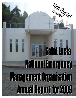# TOHR Report i i National Emergency Management Organisation *NEMOs 10th year of reporting*.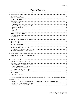# **Table of Contents**

| Photo Credit: NEMO Headquarters at Biseé officially opened by Prime Minister Stephen King on December 5, 2009 |  |
|---------------------------------------------------------------------------------------------------------------|--|
|                                                                                                               |  |
|                                                                                                               |  |
|                                                                                                               |  |
|                                                                                                               |  |
|                                                                                                               |  |
|                                                                                                               |  |
|                                                                                                               |  |
|                                                                                                               |  |
|                                                                                                               |  |
|                                                                                                               |  |
| Projects. 8                                                                                                   |  |
|                                                                                                               |  |
|                                                                                                               |  |
|                                                                                                               |  |
|                                                                                                               |  |
|                                                                                                               |  |
|                                                                                                               |  |
|                                                                                                               |  |
|                                                                                                               |  |
|                                                                                                               |  |
|                                                                                                               |  |
|                                                                                                               |  |
|                                                                                                               |  |
|                                                                                                               |  |
|                                                                                                               |  |
|                                                                                                               |  |
|                                                                                                               |  |
|                                                                                                               |  |
|                                                                                                               |  |
|                                                                                                               |  |
|                                                                                                               |  |
|                                                                                                               |  |
|                                                                                                               |  |
|                                                                                                               |  |
|                                                                                                               |  |
|                                                                                                               |  |
|                                                                                                               |  |
|                                                                                                               |  |
| NATIONAL REPORT SUBMITTED TO INTER-GOVERNMENTAL OCEANOGRAPHIC COMMISSION 200934                               |  |
|                                                                                                               |  |
| APPENDIX 1 - NATIONAL EMERGENCY MANAGEMENT ORGANISATION OF SAINT LUCIA 43                                     |  |
|                                                                                                               |  |
|                                                                                                               |  |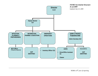

*NEMOs 10th year of reporting*.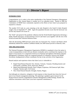# *1 – Director's Report*

# **INTRODUCTION**

Congratulations are in order to the entire membership of the National Emergency Management Organisation as this Annual Report is number ten in an unbroken series. Started in 2000 the Committees of NEMO have consistently reported on the efforts to have Saint Lucia prepared to respond to a disaster.

The number 9-9-9 took on a new meaning as the only Hospital in the South St Judes Hospital caught a fire on September  $9<sup>th</sup>$ , 2009. Again the population became aware that the hurricane was not the only hazard to be aware of.

The "birth" and spread of the pandemic influenza had the World Health Organisation declaring a *Public Health Emergency of International Concern* and Saint Lucia together with the rest of the World activated their National Influenza Plans.

After the devastating 2008 hurricane season that saw hurricanes Fay, Gustave and Hanna which relentlessly battered the northern Caribbean Islands, the 2009 season proved to relatively calm.

# **THE ORGANIZATION**

The National Emergency Management Organization (NEMO) is mandated to have the nation in a state of preparedness to deal with any disaster eventuality and to coordinate the response to the impact of any hazard. It is comprised of eleven (11) National and eighteen (18) District Disaster Management Committees which are composed primarily of volunteers; however the NEMO Secretariat, headquartered at Bisee coordinates the day to day activities of the Organization.

Hazard analysis and experience shows that Saint Lucia is vulnerable to:

- **Rapid Onset/Natural Hazards: Fire, Seismic, Volcanic, Tsunami, Flooding [marine and** land based], Landslide, Storm, Hurricane, Medical
- **Rapid Onset/Manmade Hazards: Dam Collapse, Explosion, Oil/Chemical Spill, Mass** Casualty, Nuclear spill, Civil Unrest
- **Slow Onset/Natural Hazards: Drought, Famine, Plague;**

And although not exhaustive, mitigation of and response to these hazards have been the focus of most of our disaster management planning. This planning is guided in great measure by the Hyogo Protocol and the Comprehensive Disaster Management (CDM) Strategy, disaster risk reduction instruments which Saint Lucia have expressed commitment to.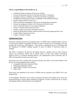# **The key responsibilities of the NEMO are to:**

- Coordinate Disaster response and recovery activities
- Increase the planning activities of National and District Committees
- Strengthen response capabilities of National and District Committees
- Strengthen the planning and response capabilities of the NEMO Secretariat
- Review Disaster Plans for Saint Lucia
- Widen the Disaster Management Network by incorporating new partners
- Increase the mitigation activities of the National and District levels
- Assist with Disaster Plans for Government Ministries
- Advise on Disaster Plans for Private Sector
- Conduct, support and evaluate simulation exercises
- Research and document disaster related activities and events impacting Saint Lucia
- Conduct Public Education activities
- Conduct Volunteer Training

# **ADMINISTRATION**

During the reporting period the participating states of CDERA [later CDEMA] began a process of reviewing the disaster management systems in country with the aim of developing a five year strategy and a multi year work program. The process is ongoing however it is confirmed that the inadequacy of NEMO's staffing continues to affect its ability to effectively realize its mandate.

The Office is staffed by the Director and Deputy Director, together with two other technical officers, (an Inventories Officer and an officer [who's on loan from another Government Agency] used as a Corporate Planning Officer); two administrative staff (a Secretary and an Office Assistant/Driver) and a part-time Janitor.

Discussions have been initiated with the parent ministry, the Office of the Prime Minister with the aim of securing additional staff, namely:

- Geographic Information Systems Officer
- Training and Education Officer
- **Safety Officer for Mass Crowd Events**
- $\blacksquare$  Office Clerk

These posts were identified in the review of NEMO and are captured in the DRAFT Five Year Strategic Plan.

As the budgetary allocations from Central Government becomes more limited, there will be the increased pressure to source project funding for programs. In order to effectively do so, Project Development Officers shall also have to be employed.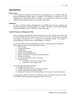#### **PREPAREDNESS**

#### *Infrastructure*

A new Emergency Operations Center (EOC) and Headquarters was completed under the Disaster Management Project (Phase 2) [DMP-2]. The facility was handed-over to the Organization in December 2009 and efforts are continuing to secure the needed equipment and furniture to allow for its effective functioning.

#### *Legislation*

On June 1, 2010 the Disaster Management Act of 2006 came into force, replacing the Disaster Management and Preparedness Act of 2000. The Mass Crowd Events Steering Committee continues work on the Mass Crowd Events Bill.

#### *National Emergency Management Plan*

The Government confirmed the Director Met Services as the Tsunami Focal Point and the Director NEMO as the Tsunami Contact Point. With these confirmations made Saint Lucia began its preparations for a warning alert and response network. See Chapter 5: Special Reports for Saint Lucia's Country Report to UNESCO.

On 18<sup>th</sup> May, 2009 by Conclusion 498/2009 the Cabinet of Ministers approved the National Influenza Plan for Saint Lucia with supporting documents:

- 1. Bird Flu Policy
- 2. Concept of Operations
- 3. Strategic Plan
- 4. Communications Strategy
- 5. Ministry of Health Influenza Plan
- 6. Ministry of Agriculture, Forestry and Fisheries (MAFF)
- 7. Ministry of Education
- 8. Law Enforcement, Public Safety, and Security
- 9. Essential Services
	- a. Government of Saint Lucia Public Service
	- b. Guidelines for the Transport Sector

The Cabinet also approved the following:

- 10. Guidelines for SUMA Team
- 11. Emergency Response Plan for the Homeless National
- 12. Communicable Disease Surveillance Manual
- 13. Ministry of Tourism and Civil Aviation National Civil Aviation Security Programme

On 24 September, 2009 by Conclusion 1151/2009 the Cabinet of Ministers a second set of Plans to be added to National Emergency Management Plan for Saint Lucia .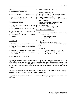#### GENERAL

1. Benchmarking Tool [BTool]

#### STANDARD OPERATIONS PROCEDURES

1. Agencies of the National Emergency Management Organisation

#### POLICY DOCUMENTS

- 1. Disaster Management Policy Framework or Saint Lucia
- 2. Governmental Officers Security of Travel Policy
- 3. Damage Assessment and Needs Analysis [DANA] Policy
- 4. Comprehensive Disaster Management Strategy

#### GUIDELINES

- 1. Post Disaster Food Protection Guidelines
- 2. Impact of Climate Change on Design Wind Speeds
- 3. Engineering Guidelines for Incorporating Climate Change into the Determination of Wind Forces
- 4. Mass Crowds Events Guidelines

The Disaster Management Act requires that once a National Plan [NEMP] is approved it shall be published and distributed. The Government has published sections of the Plan and in partnership with agencies such as IICA, PAHO, UNDP and Linksmedia the printing of various components of the National Plan was made possible thus facilitating the dissemination to the members of NEMO.

However, the printing of the main body of the NEMP as awarded under the Disaster Management Project – Phase 2 (DMP-II) remains outstanding.

Support from our partners continued as a number of emergency response documents were addressed.

#### NATIONAL EMERGNCY PLANS

- 1. Damage Assessment Plan
- 2. Water Management Plan for Drought Conditions
- 3. Hazardous Materials Response Plan
- 4. Response Plan for Extreme Heat Event
- 5. Landslide Response Plan *[To include mudslide and subsistence]*
- 6. National Mass Casualty Management Plan
- 7. Urban Search and Rescue Plan
- 8. Fire Management Plan
- 9. Emergency Well-Being Support Plan

#### SECTORAL/AGENCY PLANS

- 1. The Saint Lucia Hospitality Industry Crisis Management Plan
	- *a. Concept of Operations*
	- *b. Hurricane Plan*

#### 2. Airport Plans

*a. GFL Charles Airport Emergency Plan* 

*b. Hewanorra International Airport Emergency Plan*

- 3. Seaport Plans
	- *a. Seaports Contingency Plan - Vol 1 b. Seaports Contingency Plan - Vo 2 c. Cruise Ship Response Plan*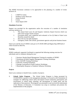The NEMO Secretariat continues to be approached in the planning of a number of events inclusive of:

- 1. CARIFTA Games
- 2. Southern Career Showcase
- 3. Jounee Kwéyòl
- 4. Cricket
- 5. Assou Square 2010

# *Simulation Exercises*

Support was provided for the organization and/or the execution of a number of simulation exercises inclusive of;

- 1. The annual Saint Lucia Air and Seaports Authority Airport Exercise which was held at the George Charles Airport:
- 2. Evacuation drills were conducted and evaluated at five (5) Bank of Saint Lucia Branches around the island.
- 3. Hess Oil Ltd. Oil spill simulation.
- 4. Emergency Drills with schools, government agencies and private business houses

Saint Lucia and the rest of CDERA took part in FA HUM 2009 and Region Rap 2009 both of which focused on Bird Flu.

# *Training*

NEMO conducted, supported, facilitated or organized the following training exercises for individuals and its volunteers during the year:

- 1. 2 Sessions: Results Based Management Training for members of NEMO
- 2. 3 Warehouse & Relief Supplies Management Training Workshops
- 3. 4 First Aid/CPR Training Workshops
- 4. 4 Telecoms Training Workshops
- 5. 3 Damage Assessment & Needs Analysis Workshops
- 6. 1 Municipality Response to Pandemic Influenza Workshop

# *Projects*

Saint Lucia continues to benefit from a number of projects:

**1. Schools Safety Program** – The School Safety Program is being promoted by USAID/OFDA a partner in risk management planning. It is focused on the formulation of strategies for addressing school safety and requires broad community participation and involvement in school safety planning, the development of model plans and the replication of best practices. The program was presented to and received the endorsement of the Ministry of Education. A Committee was setup to coordinate and promote the implementation of the program.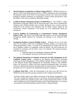- **2. Special Program on Adaptation to Climate Change [SPACC]**  NEMO continued as a partner in GEF-World Bank sponsored SPACC. NEMO collaborated with the Sustainable Development Section on the SPACC by providing a structure, the Castries East Satellite Emergency Supplies Warehouse, for retrofitting to *climate change specifications* under the Project. It now serves as model for information sharing.
- **3. Caribbean Disaster Management Project [CADM] Phase 2** The CADM is a Japan International Cooperation Agency (JICA) sponsored project which aims at hardening the resilience of the CDERA member states to floods. During the year a Country visit was conducted by the sponsors and consultants and the project contract signed by the Government. Various components of the project are to be implemented during the ensuing year.
- **4. Capacity Building for Programming in Comprehensive Disaster Management Project (CAP)** – One Officer was trained under this project in use of the Result-Based Management (RBM) approach for evaluating and reporting on the enhanced CDM Strategy.
- **5. Earthquake Readiness Capacity Building Project** Although not one of the pilot states for this project, Saint Lucia's earthquake readiness capacity was assessed with interesting preliminary results. A number of recommendations are being made with the aim of building resilience to earthquakes within the Region. The draft assessment was circulated for comments and the final is soon to be released. The expected outcomes under this project are:
	- i. Improved capacity for Earthquake contingency planning
	- ii. An Earthquake Awareness and Education Initiative.
- **6. The Regional Monitoring & Evaluation Framework for Risk Management in the Caribbean Tourism Sector** – Funding for the Regional Monitoring & Evaluation Framework for Risk Management in the Caribbean Tourism Sector, a follow-up project to the Regional Disaster Risk Management for Sustainable Tourism in the Caribbean Project was secured by CDERA from Inter-American development Bank. This project will aim to implement the products developed under the former project. Though approved during this year it is expected to be implemented during the ensuing year.
- **7. Caribbean Flood Pilot -** Under the Chairmanship of the Saint Lucia Met Services the NEMO Secretariat joined the steering committee for the Caribbean Flood Project.

Activities include projects that address each phase of the disaster management cycle. The main warning and response activity is the Sensor Web flood prediction and high resolution satellite data acquisition project. This is being implemented in Phase 1 for the entire Caribbean area (24 countries) but efforts will be made during Phase 1 to increase the resolution of the flood prediction model for Phase 1 National Partners.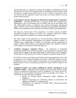Each national team was requested to examine the possibility of establishing a national repository (if one does not exist already) where the satellite data from the project could be archived. A regional central archive will be set up at Cathalac in Panama City, but it was felt that the best approach to ensure easy access to the data would be to set up parallel national archives.

8. **Comprehensive Disaster Management Harmonized Implementation Programme [CDM-HIP]** - The CDM HIP Phase One is a five-year project that is expected to be implemented in the 18 participating states of CDEMA and will run until March 2013. The US\$11,706,192 project is funded by the Canadian International Development Agency (CIDA) and the United Kingdom Department for International Development (DFID), with contributions from other donors, including CDEMA's participating states.

The long term overall impact of this programme is to achieve regional sustainable development through the reduction of losses in the Caribbean region and to impact disaster management coordination at the national and regional levels.

The major results of this programme are two-fold providing enhanced institutional support for CDM Programme implementation and enhanced community resilience in CDEMA states. Implemented by CDEMA in partnership with the Organisation of Eastern Caribbean States (OECS), this programme supports the Caribbean's enhanced CDM strategy via a harmonized multi-donor approach.

9. **Caribbean Emergency Legislation Project** - The Department of Sustainable Development (DSD) of the General Secretariat of the Organization of American States (OAS), with the support of the International Bank for Reconstruction and Development (World Bank), in 2009 launched the Caribbean Emergency Legislation Project (CELP).

The CELP will assess current legal and institutional frameworks applicable under a state of emergency in the Dominican Republic and eleven CARICOM member countries: including Saint Lucia; with the objective of providing a set of recommendations for the implementation of clear and transparent procedures for natural disaster response in the Caribbean.

- 10. **Institutional Support and Capacity Building for Disaster Management in the Caribbean Project** – Supported by the European Union the project seeks to reduce poverty by integrating Comprehensive Disaster Management as a natural disaster loss mechanism into the sustainable development policies and strategies of the region. To achieve this; the project has three components.
	- a. Review of Existing Disaster Management Model Legislation and Regulation.
	- b. Regional Infrastructure for Information Sharing an development and adaptation of Model ICT Contingency Plan
	- c. Development and adaptation of Model Public Education/Awareness Policy and Strategy.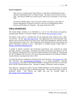# *Special Assignments*

Saint Lucia as a member of the United Nations is committee to submitting the Second National Communiqué [SNC] on Climate Change. The report is due towards the end of 2010. The Director NEMO was invited to join a team of local consultants to work on the SNC.

The Director NEMO joined a Team to provide Technical Assistance to the Office of Disaster Management of Dominica primarily in the area of strengthening the Plans, Policies and Procedures for Dominica. The project shall end in 2010.

# **PUBLIC INFORMATION**

The Annual Report continues to be distributed to a list of over 200 persons and agencies, including public libraries. It will also available via the Internet http://stlucia.gov.lc/nemp

The internet is also used as a clearing house for the application forms needed to host a Mass Crowd Event. The site http://stlucia.gov.lc/mce hosts application forms and information from agencies such as the Royal Saint Lucia Police Force, Solid Waste Management Authority and the Labour Department to name a few. The membership of the distribution list for press releases and general information continues to grow. Subscription is available through a blank email to: slunemo-subscribe@yahoogroups.com

A number of disaster awareness and sensitization presentations were conducted for school principals, churches, youth groups, communities and public and private sector agencies over the year. Planning commenced to host a national schools simulation in November to commemorate the 2007 Earthquake [M7.4] however the social distancing required for the Influenza Pandemic caused authorities to postpone the event to 2010.

It is hoped that disaster management informationwill soon be hosted at www.nemo.gov.lc as the URL previously used (www.geocities.com/slunemo) is no longer operational. Presently www.nemo.gov.lc hosts links to the National Emergency Management Plan, Mass Crowd Events advice and the National Influenza Plan. Attempts to engage a Webmaster remain incomplete.

Press Releases: Utilizing the Yahoo! eGroups, NEMO distributes its Press Releases via emails to the media, the GIS and a number of interested individuals. The matrix below gives an idea of production trends. The archives are public and may be accessed online at http://groups.yahoo.com/group/slunemo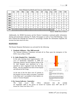|      | Jan | Feb            | Mar | Apr | <b>May</b> | Jun | Jul | Aug            | Sep | Oct            | <b>Nov</b> | <b>Dec</b>     |
|------|-----|----------------|-----|-----|------------|-----|-----|----------------|-----|----------------|------------|----------------|
| 2009 | 3   | 6              | 5   | 20  | 24         | 21  | 7   | 19             | 10  | 13             | 21         | $\overline{7}$ |
| 2008 | 4   | 7              | 22  | 10  | 13         | 8   | 11  | 10             | 7   | 11             | 9          | 12             |
| 2007 | 13  | 11             | 11  | 13  | 15         | 14  | 7   | 20             | 6   | 3              | 4          | 18             |
| 2006 |     | $\overline{2}$ | 6   | 3   | 6          | 4   | 3   | $\overline{2}$ | 1   | $\overline{2}$ | 9          | 5              |
| 2005 | 14  | 17             | 8   | 8   | 3          | 11  | 18  | 15             | 4   | 18             | 11         | 2              |
| 2004 | 5   | 19             | 9   | 8   | 10         | 19  | 9   | 17             | 13  | 8              | 8          | 14             |
| 2003 | 5   | 6              | 15  | 12  | 9          | 21  | 23  | 19             | 12  | 10             | 10         | 3              |
| 2002 |     |                |     |     |            |     |     |                |     | 2              | 15         | 18             |

Press Releases by Month and Year *[as of December 31, 2009]*

*Source: NEMO News Archives*

Additionally, the NEMO Secretariat and the District Committees continued public information sharing and sensitization utilizing TV, Radio, Newspapers as well as Town Hall Meetings. It has been realized that although the citizens do increasingly consider the information imparted, the increase has been much too slow.

# **RESPONSES**

The Disaster Response Mechanism was activated for the following:

# **1. Pandemic Influenza - May 2009 onwards**

The National Influenza Committee activated all its Plans upon the emergence of the H1N1 virus in May of 2009.

# **2. St. Judes Hospital Fire - September**

In the early morning hours (approximately 1.00 a.m.) of Wednesday September 9, 2009 two Operating Theatres and the Surgical Wing of the St. Jude Hospital were destroyed by a fire, reported to have originated from the Recovery Room. The fire engulfed one third of the hospital and affected all the wings.

At the time of the fire there were 47 patients at the hospital; 44 were safely evacuated, 2 perished in the blaze and 1 succumbed to burn injuries enroute to Victoria Hospital.

# **3. Dry Season Indicator - September**

The Saint Lucia Met Office indicated that the rainfall for September 2009 is the lowest on record for Castries since 1967 and the  $5<sup>th</sup>$ lowest for Vieux Fort Since 1973.

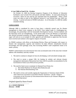# **4. Lost Child at Fond O'dr - October**

On October 22, 2009 the Roving Caregivers Program of the Ministry of Education facilitated a tour to Fond d'Or with parents and their children. At some point during the excursion a three [3] year old boy got separated from his grandmother. When a head count was taken as part of the departure protocol it was realized that one child was missing. A partial activation of NEMO took place. As of December 31, 2009 the toddler remained missing.

# **CONCLUSION**

Although 2009 is considered by some to have been a relatively normal year for disaster management in Saint Lucia, response to the H1N1 Virus indeed made it a challenging one. Increasingly, the partnerships with the Sustainable Development Section, Tourism Industry and the Education sector are strengthening. In the period under review the Ministry of Agriculture also showed increased awareness of disaster management issues. These partnerships can only auger well and act as an example for other agencies and individuals to appreciate thus become more involved and resilient to the negative impacts of hazards.

As NEMO continues with efforts at developing Policies, Plans and Strategies with respect to disaster risk management; capacity and resources for their effective actualization become increasingly and more glaringly acute, thus increasing NEMO's staff compliment needs to be made a priority.

NEMO's achievements over time however have also accentuated some of the areas that it should address with immediacy and they include:

- 1. The need to continue to sharpen its focus by developing a well articulated strategic plan.
- 2. The need to secure a proper URL for hosting its website and relevant disaster management information. Discussions have been held for possible accommodation by the Government of Saint Lucia Web services provider.
- 3. The need for Saint Lucia to nominate its National Focal Points for:
	- a. The Global Platform for Disaster Risk Reduction; and
	- b. The National Benchmarking Tool
- *4.* The need to review and consider signing the Organization of American States (OAS) *'Inter-American Convention to Facilitate Disaster Assistance'* and the *'Tampere Convention on the Provision of Telecommunication Resources for Disaster Mitigation and Relief Operations'*

*Original signed by Dawn French*

………………………………….. **A. L. DAWN FRENCH** *Director – NEMO*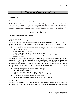# *2 – Government Liaison Officers*

# **Introduction**

It is a requirement that an Annual Report be prepared.

Section 15 of the Disaster Management Act states that *"Every Permanent Secretary or Head of a Department of Government, chairperson of a committee established pursuant to section 9 shall submit annually to the Director, in such form and by such date as may be required by the Director, a report containing such information as may be requested by the Director for the purposes of sections 5 and 11."*

# **Ministry of Education**

# **Reporting Officer: Ann Jean Baptiste**

# **PREPAREDNESS**

# *Training undertaken during the year*

The Ministry of Education and Culture through its Liaison Officer and the Research Officer in the Plant & Equipment Unit, participated in the following training activities in Guyana, Belize, Jamaica and St. Lucia.

- INEE Minimum Standards for Education in Emergencies, Chronic Crises and Early Reconstruction (Guyana)
- School Safety Course (Belize)
- Disaster Risk Reduction in the Education Sector (Jamaica)
- Results Based Management-Development of Comprehensive Disaster Management Strategy (St. Lucia).

The Liaison Officer also participated in planning and sensitization workshops/meetings organized by NEMO at the national level. Of significance was the need to disseminate information and generate widespread interest in the H1N1 subsequent to the pandemic alert issued by the World Health Organisation in June 2009. Those meetings/workshops aimed at building capacity at the agency level to respond to disasters/emergencies. Areas of focus included:

- Planning/Development of Communications Strategy for Avian Influenza Pandemic
- Table Top regional simulation exercise *FA HUM 2009* to test Avian Influenza Plan (National Communications Strategy)
- Review National Influenza Pandemic Preparedness Response Plan: Ministry of Education Reporting Plan for Schools

# *Simulation Exercises*

The Ministry of Education in collaboration with the National Insurance Corporation participated in an evacuation drill in July 2009. The Ministry was able to use this activity to further sensitise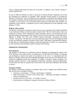staff on Standard Operating Procedures for evacuation. In addition, some schools continue to conduct regular drills.

In June of 2009, the Ministry was able to reactivate its internal Disaster Committee and to date the committee has conducted six meetings. Those meetings focused mainly on assessing the Ministry of Education's state of readiness for any emergency to determine the required actions for emergency planning. Standard Operating Procedures for evacuation have been finalized. The committee is in the process of reviewing the Draft Continuity of Operations Plan (COOP). On completion of this exercise, a simulation exercise will be conducted to test the feasibility of the Ministry's COOP.

# **PUBLIC EDUCATION**

The Ministry of Education is pleased to report that it has now partnered with USAID and NEMO to train education officers and all principals in school safety. The first school safety course was conducted in January 2010. Participants included education officers, one principal from each educational district and personne l from, the St. Lucia Fire Service, Royal St. Lucia Police Force, Ministry of Health, SLU Red Cross, NEMO, National Principals' Association and Parent Teachers' Association. The three-day course provided participants with the knowledge and skills to plan and formulate strategies to promote school safety. Participants commended the Ministry of Education for introducing this initiative within the programme of schools. It is expected that by year end thirty more principals would be exposed to the training.

# **EMERGENCY RESPONSES**

# *H1N1 Response*

The Ministry of Education was confronted with the challenge of mitigating the spread of the H1N1 Influenza virus within schools. In collaboration with the Ministry of Health, a mechanism was developed to monitor the spread and prevalence of the virus. In consultation with the Ministry of Health, classes had to be suspended depending on the severity of the identified cases. During the heightened period (late September to middle of October), student attendance was seriously affected. However, at the beginning of November attendance improved significantly. To date, there have been no reported cases of the H1N1 virus and school attendance has returned to normal.

# *Emergency Shelters*

The Ministry of Education continues to undertake major works to upgrade and refurbish schools that are also used as emergency shelters.

- Extension to school plant Ti Roche and Forestiere Combined
- Major renovations to sections of the school plant Marchand and Boguis Combined, Castries Comprehensive.
- Reconstruction of a new block St. Joseph's Convent
- Reinforcement of building for temporary relocation of Bexon Primary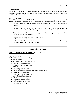# **CHALLENGES**

The ability to secure the requisite material and human resources to develop capacity for emergency management at the school level remains a challenge. The intervention from USAID/OFDA will provide some measure of relief in that area.

# **WAY FORWARD**

The Ministry of Education will in 2010 institute measures to generate greater awareness of disaster preparedness and school safety. In this regard, the Ministry will focus on the following:

- Develop a National School Safety Policy and institute a School Safety Programme within schools.
- Conduct school visits in collaboration with NEMO to monitor and provide the requisite support for the implementation of strategies garnered from the School Safety course.
- Undertake an evaluation of standards, equipment and operating procedures at schools to assess the level of preparedness.
- Augment water storage capacity at selected schools.
- Partner with the Ministry of Health and other external agencies to promote school safety and emergency planning at the school level.

# **Saint Lucia Fire Service**

# **NAME OF REPORTING OFFICER: Chief Fire Officer**

# **PREPAREDNESS**

Staff Training undertaken during the year were as follows:

- Search and Rescue
- Caribbean Disaster Relief Workshop
- Breathing Apparatus Wearers
- Pandemic Influenza Workshop
- EMS Training
- Leadership Training Skills
- Junior Officer Leadership Academy ( Supervisory skills)
- Bronto Skylift Operations
- Public Policy and Management
- Aircraft Firefighting Training
- EMT Instructors training
- Airport Simulation Exercise
- Fire Service Administration
- Fire Prevention Practices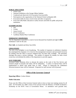# **PUBLIC EDUCATION**

- School visits
- National Exhibition at the George Odlum Stadium
- Conducted and observed (12) Evacuation Exercises/drills.
- Participation in the organization of the National School earthquake drill.
- Evacuation drills for mass crowd events and other occupancies.
- Forty-nine (49) Public education in safety lectures and drills for public and private institutions.

# **STANDBY DUTIES**

- Jazz
- Cricket
- Jounee Kwéyòl
- FCCA Conference
- Caribbean Market Place Conference

# **EMERGENCY RESPONSES**

The fire department responded to a total of seven thousand four hundred and eight (**7,408**) Ambulance Calls for the year.

**Fire Calls-** six hundred and thirty four (634).

# **CHALLENGES**

The role of the firefighter is ever broadening. The number of responses to ambulance situations has outstripped fire responses 12:1; however the management structures and associated resources for dealing with this shift in services rendered have not been fully available. The personnel shortage also poses a serious challenge. The number of requests for standby for mass crowd events has overwhelmed the ability of the department to provide support.

# **WAY FORWARD**

Increased Public Relations drive to educate the nation on the work of the Fire Service and sensitize people on hazards and safety will be undertaken. A policy on Special Duty will be implemented to afford clear guide lines to staff. Efforts at improving the Ambulance Structure/resources base will be continued. Proposals for staff increase will be pursued.

# **Office of the Governor General**

# **Reporting Officer:** Uralise Delaire

# **Public Education**

Every year the Office of the Governor-General seeks to have at least one training session for all staff. On November 26, 2009 a team of four persons from the Ministry of Health facilitated a Workshop on the H1N1 Virus at Government House. In attendance were grounds men,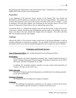housekeeping staff, administrative staff and the Royal Guards. Information was provided in both English and Creole to ensure correct interpretation.

# **Preparedness**

At the beginning of the hurricane season, sections of the Disaster Plan were printed and distributed to all staff members as it pertains to their roles and responsibilities. The purpose was to ensure that all persons were aware of the actions to be taken in the event of a disaster. A stock of emergency food and other supplies were purchased for the hurricane season. We are in the process of using some of these items as they are approaching expiry dates.

Government House is a hundred and fourteen years old and the structure is about forty percent wood, hence, constant renovations and refurbishments must be made to the building. Last year, repairs were done to the roof, whereby the shingles had to be replaced. The walls to the front had to be resealed to prevent water seepage.

# **Challenges**

Whereas the Office of The Governor General cannot boast of not having challenges, we did not encounter difficulties in achieving our mandate. We are mindful of the need to be prepared for any disaster and we try as much as possible throughout the year to remain at a state of readiness.

# **Probations and Parole Services**

# **Name of Reporting Officer**: Mrs. Casilda Rosemond-Severin [Probation Officer]

# **Preparedness**

The Probations and Parole Department permitted, Mrs. Casilda Rosemond-Severin, to attend a Damage Assessment & Needs Analysis Workshop for Instructors of the OFDA. The Course was held on September 22-25, 2009.

In addition, Ms. Jacqueline Isembert, attended a one day session, held particularly for Cleaners. The topic was the H1N1 virus.

# **Public Education**

The staff of Probations and Parole Department was briefed after the workshops attended by the above named staff.

#### **Emergency Responses**

The Department did not undergo any emergency responses.

#### **Challenges**

1. The challenges the department experiences are the urgency to retrieve the necessary items needed to open the exit doors, if a disaster of any kind occurs.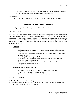2. In addition to this, the structure of the building in which the department is situated may have some limitations as to the number of exit doors, etc.

# **Way Forward**

The department has planned to execute at least two fire drills for the year, 2010.

# **Saint Lucia Air and Sea Ports Authority**

**Name of Reporting Officer:** Kennedy Francis, Chief or Ports Police

# **PREPAREDNESS**

The Saint Lucia Air and Sea Ports Authority, (SLASPA) through its Disaster Management Committee is constantly in a state of preparedness in the event that it is required to respond to an emergency. To this end and because SLASPA by the nature of its operations is so required, we continue to encourage staff, external agencies and the public in training activities, public education as well as drills and exercises. Below is an outline of activities conducted in 2009 and those slated for 2010.

# *Training*

- **Media Training for Port Managers Transportation Security Administration,** USA
- **•** Drills and Exercises Organization of American States (OAS)/SLASPA/Prime Ministers' Office
- Fire Extinguisher Training SLASPA Staff
- H1N1 Workshop Ministry of Health, Wellness, Family Affairs, National Mobilization and Gender Relation
- **Emergency Operation Centre Management Training National Emergency** Management Organization (NEMO)

# *Simulation your Committee took part in*

- Real Time Callout of SLASPA Disaster management Committee
- ß George F.L. Charles Crash Simulation Exercise
- **•** Consultation between Agencies in preparation for exercises

# **PUBLIC EDUCATION**

- **KRY** Monthly Disaster Committee Meetings
- **Meetings with Airport/Seaport/Users/Concessionaires to inform on disaster management.**
- School visits re: Airport Emergency Exercise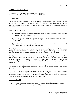# **EMERGENCY RESPONSES**

- St. Judes Fire Provision of security/retrofit of Stadium
- ß Rescue at Petit Piton Air Traffic Controllers, SLASPA

# **CHALLENGES**

One of the challenge for us at SLASPA is getting head of external agencies to realize the importance of their attendance at planning meetings for emergency response as well as ensuring that information gleaned at such meetings are adequately passed on to subordinate staff in a timely manner.

To this end, we continue to:

- (a) Submit request for agency participation to the most senior staffer as well as copying memos to persons at such agencies.
- (b) Follow up with emails and phone messages in a structured manner to serve as reminders.
- (c) Provide training for all agencies to ensure awareness, skills training and review of Agency Standard Operating Procedures (SOPs).

Secondly, funding to ensure adequate training is conducted at all ports is minimized as we go through financial constraints. We continue to utilize the expertise of local agencies to ensure that the necessary staff are trained and made aware with the Standard Operating Procedure.

Thirdly, emergency preparedness is very time consuming and challenging in nature. Therefore, getting external agencies to provide us with the necessary support in a timely manner can prove to be quite a task. This is against the backdrop that whilst agencies are always in emergency response mode, they are tasked to conduct other functions which may be equally time consuming.

We continue to push and encourage joint agency support with the anticipation that our continued good rapport will prevail.

Finally, one of our goals has and continues to be the realization that all participating agencies will in the not too distant future approach emergency preparedness and response in a more professional manner and not see it as an annual or usual thing. We continue to stress that a certain level of realism is needed in the conduct of exercises

# **WAY FORWARD**

1. Major Simulation Exercise at a Seaport – conduct of Simulation Exercise on M.V Costa Mediterranea on January 22, 2010 (explosive device)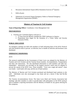- 2. Hewanorra International Airport (HIA) Simulation Exercise  $(3<sup>rd</sup>$  Quarter)
- 3. Drills all ports
- 4. Submission of reviewed Airport Emergency Orders to National Emergency Management Organization (NEMO)

# **Ministry of Tourism & Civil Aviation**

**Name of Reporting Officer:** Coordinator, Crisis Management Unit

# **PREPAREDNESS**

- *a. Training your Committee/Agency took part in* 
	- 1. A Team from the Ministry attended the CDM Conference in Jamaica.
	- 2. Preparations have begun for the formation of a Visitor Safety and Security Network [VSSN].

# **PUBLIC EDUCATION**

An emergency meeting was held with members of Staff informing them of the H1N1 Protocol and what should be done to prevent an infection, how to handle an infection and brochures were distributed.

# **EMERGENCY RESPONSES**

# *H1N1*

The protocol established by the Government of Saint Lucia was adopted by the Ministry of Tourism and Civil Aviation and the Tourism Sector (namely, Accommodations, Transportation and Sites and Attractions). We also distributed information to staff members and other key stakeholders. Information was provided on the hygiene practices which must be adopted to prevent the spread of the H1N1 virus. Those included: "cover your cough and sneeze"; clean your hands – wash hands with soap, and the use of hand sanitizer.

The Ministry of Tourism and Civil Aviation purchased and distributed hand sanitizers to the staff. Individuals were also encouraged to stay home and see a doctor if they had flu-like symptoms.

The Tourism Accommodations Sector: The Saint Lucia Hotel and Tourism Association had meetings with their members in order to provide them with information on the H1N1 protocol and to establish a reporting mechanism with the Ministry of Health for any guests showing flu like symptoms.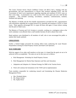The Cruise Tourism Sector: Royal Caribbean Cruises Ltd (RCL) had a meeting with key governmental, and port representatives to discuss their position regarding H1N1, and the Government of Saint Lucia requirements regarding reporting and treatment of H1N1 cases on their cruise ships. A presentation was made on how RCL treats guest and crew with flu-like symptoms. This included screening, surveillance, sanitation, communication, isolation, treatment and reporting.

The Ministry of Health and the Port Health representatives provided the RCL representatives with information regarding the accepted protocol for reporting and treatment of H1N1 in Saint Lucia. These agencies encouraged RCL to report 48 hours and again 12 hours before coming into the ports in Saint Lucia.

The Ministry of Tourism and Civil Aviation is currently, working on a contingency plan so the work continuity is not affected when a staff member becomes ill and is absent from work.

Hand sanitizers were distributed to all members of staff, who in turn encouraged the public to sanitize their hands sanitized.

# **CHALLENGES**

Further a limited budget prevented the training officer from conducting the usual Disaster Preparedness training for Small Property Owners and Small Craft Operators.

# **WAY FORWARD**

With the support of two other staff members on the team, it is hoped that the goals set out to be achieved will be accomplished. The tasks set out for this year are as follows:

- a. Risk Management Workshop for Small Property Owners
- b. Risk Management for Marine Base Operators and Sites and Attractions
- c. Adaptation and Adoption of a National Strategy for DRR in the Tourism Sector.
- d. Work will continue the formulation of the VSSN and its implementation

Team members responsible for conducting research and formulating the Disaster Reduction Management Policy:

- a. Mrs. Elizabeth Bailey
- b. Ms. Deepa Girdari
- c. Ms. Sophia Pierre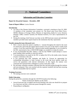# *3 – National Committees*

# **Information and Education Committee**

# **Report for the period January – December, 2009**

# **Name of Report Officer:** Lucius Doxerie

# **Introduction**

- As Chair of the Disaster Information Committee, convened a meeting on June 26, 2009. 12 members of the committee were present viz: The Royal saint Lucia Police Force, NEMO, Ministry of Foreign Affairs, Ministry of Agriculture, Radio St. Lucia, Dennery Hospital, LIME, Conines? Systems, the National Archives, TCT and 2 representatives of the GIS.
- During the meeting a brief forecast was done on the 2009 hurricane season and individual members provided status reports based on the institutions that they represented.

# **Notable among the issues discussed were** :

- RSL's concern about the station's inability to transmit throughout the island in the event of a hurricane, given that the station had no towers of its own in the north or south of the country. It was also noted that RSL's physical plant needed upgrading. It was revealed by the RSL representative that a US\$150 000 budget was needed to revamp the station.
- It was recommended that RSL submit a wish list that NEMO would attempt to source grant funding where possible to assist the station.
- A recommendation was made for the NIC to replace the GIS as the media centre, because of space constraints at the GIS.
- ß It was proposed that CBC Barbados and Radio St. Vincent be approached for rechanneling information to Saint Lucians in the event that local stations could not service the population with relevant information. In that regard, the stations were contacted and expressed their willingness to assist as best they could.
- $\blacksquare$  By and large committee members indicated that they had been going through the motions and were prepared. They were stocked with the requisite foodstuff and had been ensuring that the consumables had not expired.

# **Training Exercises:**

No training exercises were conducted

# **Public Education**:

During the period the committee through the GIS/NTN broadcast the following:

Names of Hurricane Shelters on the island

- Several hurricane tips in English and Kwéyòl dealing with what one should do to prepare for a hurricane and after a hurricane passes through the country
- Responding to earthquakes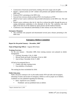- Construction of hurricane proof homes; dealing with storm surges and oil spills
- Hosted a special section on GIS' website with pertinent and updated information on the HINI virus
- Produced PSA's pertaining to the HINI virus
- Sourced from overseas already produced PSA's for broadcast on NTN
- Hosted at least 5 press conferences that provided information on the HINI virus. The said press
- Hosted a press conference after the St. Jude fire to inform the public through the press on coping mechanisms undertaken in the aftermath of the fire. The conference also shed light on the dual use of the stadium by sports persons and the medical fraternity.
- Conferences were rebroadcast [individually] in their entirety no less than 6 times.

# **Emergency Response**:

ß The committee met prepared and disseminated several press releases pertaining to the HINI virus

# **Emergency Shelters Committee**

# **Report for the period January – December, 2009<sup>1</sup>**

**Name of Reporting Officer**: Augusta Ifill (Chair)

#### **Training Exercises:**

For the year January – December 2009, three training sessions were planned on shelter management:

- Choiseul: November  $12 \& 13, 2009$
- Micoud North and South: November 23 & 24, 2009
- Anse la Raye: November 26 & 27, 2009

All had to be postponed due to:

- Clashes with other training events
- Unavailability of facilitators

The training has been rescheduled for 2010.

#### **Public Education**:

l

Public education continues to be via the media mainly NTN and radio and newspapers, informing of names and location of emergency shelters as well as proper use of shelters. Guidelines are also published regarding the following:

- Items required for use at shelters
- Prohibited and non prohibited items at shelters

 $<sup>1</sup>$  Report submitted June 3, 2010</sup>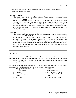There has also been some public education done by the individual District Disaster Committees at the district level.

# **Emergency Response**:

The year in review (2009) was a fairly quiet one for this committee in terms of shelter activation for **natural** disasters since there were no severe storms, hurricanes or earthquakes. However, there was the need to activate one emergency shelter (the Vieux Fort Comprehensive School Campus B) for two days to house patients as a result of the St. Jude's Hospital fire on  $9<sup>th</sup>$  September 2009. It must be noted that the occupation of this shelter was only for one day and the efficient cleanup exercise which subsequently occurred enabled the students to return to school in quick time , thereby minimizing loss of school/instruction time.

#### **Challenges:**

The biggest challenge continues to be the coordination with the district disaster committees. To date NEMO has not received names of representatives from all committees and as such these names are not available to the Chair. There is also the non attendance at meetings of all persons making up the National Shelter Management Committee. This is important since the shelter managers must be given a contact name within each district in the event of an emergency and all persons concerned must review their roles to ensure smooth and quick execution of duties in the event of a request for activation of any shelters.

# **Conclusion**

It continues to be a source of bewilderment and sadness that the National Disaster Committees consistently do not report on the good works that they do. These committees work hard and yet will not inform the public of the planning and preparedness measurers they are putting in place for the safety of the Nation.

The Shelters committee missed the deadline by four months and the following National Disaster Committees did not submit a report for the period January – December 2009

- 1. Damage Assessment and Needs
- Analysis [DANA]
- 2. Transport
- 3. Supplies Management
- 4. Telecom
- 5. Wellbeing
- 6. Health
- 7. Emergency Works
- 8. Stress Management Team
- 9. National Hazard Mitigation Council
- 10. NEMO Auxiliary Corps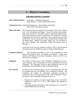# *4 – District Committees*

# **Babonneau Disaster Committee**

- **Name of Report Officers**: Sarah Jules Committee Chairperson Norma Herman – Social Transformation Officer
- **Training Exercises:** Warehouse Management Nine members participated. There were no simulation exercises
- **Public Education:** The Committee made presentations at the assembly of the S.D.A. churches in La Croix Chaubough and Boguis. About 150 persons were present. Talks were also given at the health clinics in Babonneau Health Centre. About 400 people from various communities were sensitized on disaster preparedness and their role as community. The Committee also gave talks on the H1N1 virus at two daycare Centres during Parents meeting and at the Health clinics. Mothers and Fathers groups were also sensitized as part of the Mothers' day celebrations. About 150 persons were in attendance.

At the end of the year the committee received a CD of 100 PowerPoint presentations from the NEMO Secretariat on Disaster Risk Reduction

- **Emergency Response:** The Committee responded to a fire in the Community of Fond Assau in the month of June. Six families were affected. Victims were referred to the National Community Foundation, Saint Lucia Red Cross and Caritas for assistance.
- **Challenges:** The number of radios given to the Committee is inadequate for such a wide community. Some Communities are still not represented on the local Committee. The Committee will try to meet communities who are not represented on its membership in effort to get them onboard.
- **Way Forward:** Late last year the Committee began work on its operations plan. This will be completed this year and hopefully will be endorsed by NEMO. The Committee will continue its sensitization programme focusing on communities that are not represented on the Local Committee as well as the schools. These community meetings will focus on:
	- 1. Educating the residents on disaster preparedness issues with special emphasis on their role as far as their families and property is concerned.
	- 2. Collecting pertinent information on the community so as to record all hazards identified by the residents.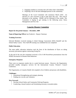- 3. Engaging residents in activities that will reduce their vulnerability
- 4. Preparing a list of old and challenged persons in the community.

Meetings of the Local Committee will commence March 2010. An election of a new executive is due to take place this year. This will be discussed at the meeting. NEMO will be informed of the results. The Committee is hoping to get training in the following areas: Stress Management and First Aid.

# **Canaries Disaster Committee**

# **Report for the period January – December, 2009**

**Name of Reporting Officer**:Ian Frederick - Deputy Chairman

# **Training Exercises:**

Selected Members received training in Initial Damage Assessment (IDA) Handoff and the School Safety Course. First Aid/CPR training was scheduled but not completed.

# **Public Education**:

The main public education initiatives took the form of the distribution of flyers on taking necessary precautions against contracting Swing Flu.

At the end of the year the committee received a CD of 100 PowerPoint presentations from the NEMO Secretariat on Disaster Risk Reduction

# **Emergency Response**:

There were no responses mainly due to a quiet hurricane season. However, the Organization provided standby emergency services for the International Country Women's Council Conference.

The Organization, in Canaries Health Aid compiled a list of elderly and persons with disabilities.

# **Challenges:**

- Institutional Strengthening and strategic planning
- Finding new recruits and volunteers

# **Way Forward:**

- Develop School Safety and Community Policing Programs.
- Conducting a hazard analysis and formulating necessary evacuation plans.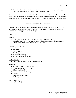• Work in collaboration with Saint Lucia Red Cross to have a local group to support the Red Cross Youth established at the Canaries Primary School.

The vision for the future is to continue to collaborate with the police, medical services and the wider public, to ensure that the community develops and sustains a culture of risk management and disaster mitigation through public education and planning, while meeting volunteers' needs.

# **Dennery South Disaster Committee**

Dennery South Committee is pleased to present its annual report from its thirty one (31) Man membership. The Committee holds its monthly general meeting every first Monday of the Month at the Dennery public library at 7:00 p.m.

# **PREPAREDNESS**

# **Training**

- **•** Drill Training Practice Every Sunday from  $7:30 \text{ am} 8:30 \text{ am}$
- **Special Training for Fire Prevention, Radio Telecommunications and First Aid, every** Mondays and Wednesdays at the Dennery Fire Service.

# PUBLIC EDUCATION

- Radio Announcements
- $\blacksquare$  Churches
- Notice Boards
- **•** Distribution of letters
- Community meeting
- CD of 100 PowerPoint presentations

# **CHALLENGES**

• Mobilization of general public to include schools

# ACTIVITY

- General Revision of Disaster Plan
- Village Tour to include La Caye
- Identifying Hazards
- $\n$  Public activities, Fund raising
- $\blacksquare$  Lectures
- $\blacksquare$  Meetings with the public
- Self Help

# WAY FORWARD

■ Self help Project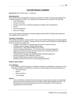# **Gros Islet Disaster Committee**

**Prepared by Miss Jennifer Gaston – Chairperson** 

#### **PREPARDNESS**

The Gros Islet Disaster Preparedness Committee participated in a number of training and meetings held by NEMO during the year 2009. The Committee was represented by its members in the following:

- Stress Management
- Damage Assessment
- Meeting with the JICA Consultant regarding the Flooding in the Corinth District
- Bird Flu
- Disaster Management
- Red Cross Training

The Gros Islet Disaster Preparedness Committee prepared Disaster Plans for Rodney Bay, Beausejour, Caye Mangé and Gros Islet Town

#### **Continuity of Operations**

The Committee is presently working with Ms. Garcia on the Corinth Flooding issues and putting together an Evacuation plan for the residents. Meetings with the Committee and the Residents are being organized for 2010. To date the committee has:

- Establish a memorandum of understanding with business houses/Gas Stations
- Available resources listing of supplies shelters listing
- Communication Ham Radios available at Fire Service
- Disaster Committee Headquarters Gros Islet Fire Services (during Emergencies)
- Adapt plan of Marisule to suit Corinth area, Rodney Bay, Cap Estate and Monchy
- Make presentations at town Hall meetings
- Attended relevant meetings with NEMO regarding Community preparations
- Sourcing of generator from NEMO/Fire Services
- Issuing of vehicle passes to members during a hurricane
- Working with the Gros Islet Town Council regarding preparations

# **PUBLIC EDUCATION**

#### **Town Meetings:**

The Committee conducted meetings in the different communities and fishermen within the Gros Islet Constituency (Monchy, Grand Reviere, Corinth, Gros Islet) to update and forward information on:

- Evacuation process
- Shelters
- Waves and effects
- Tree trimmings

#### **Shelters:**

Visits to all Shelters within the Districts where done to ensure all were in place to accommodate persons in the event of a Disaster as well as meetings with the Shelter Management Team. All School Principals and Church Administrators must be commended on their co-operation regarding the use of their facilities.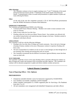#### **Office Meetings:**

The Committee continues to have its regular meetings every  $1<sup>st</sup>$  and  $3<sup>rd</sup>$  Wednesday of the month during the Hurricane Season and the  $1<sup>st</sup>$  Wednesday of the month outside of the Hurricane Season. Communications is done via emails and presentations to update members of plans and issues affecting the District.

#### **Other:**

At the end of the year the committee received a CD of 100 PowerPoint presentations from the NEMO Secretariat on Disaster Risk Reduction

# **EMERGENCY RESPONSES**

The Committee participated/assisted NEMO in the following:

- Commonwealth Finance Ministers Meeting Members were onsite to ensure assistance in the event of a Disaster.
- Public Events within the Gros Islet Area
- Flooding within the Gros Islet town (Marie Therese Street). Four residents were affected with one resident losing furniture and experiencing major damage to the house. Residents assisted in helping the individuals affected.

#### **CHALLENGES**

The Committee is still face with the following challenges:

- Flooding in the Gros Islet, Bois d'Orange and Corinth community. Due to the lack of drainage (cleaning of drains), residents in the areas of Beausejour continue to experience flooding with heavy rains.
- The lack of preparedness by residents are also an issue as some damages are done through lack of tree trimming, drain cleaning and ensuring that roofs are secured.
- The Committee recommends that the different Government Agencies/Ministry ensure that these issues are dealt with.

# **WAY FORWARD**

The Committee would like to focus on the major flooding which is presently affecting the residence of Bois d'Orange and Corinth with assistance from Government and other Agencies. The Committee will continue with its education programme to update and inform residents on plans and process.

# **Laborie Disaster Committee**

# **Name of Reporting Officer: Ulric Alphonse**

# **PREPAREDNESS**

- Chairperson attended refresher course for Instructors organized by USAID/OFDA
- Two members successfully completed a DANA Handoff
- Fifteen members participated in a PAHO organized pilot for Surviving a Flu Pandemic from July 27 to 31.
- All sub committees were reorganized with identified Chairpersons and other officers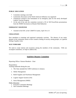# **PUBLIC EDUCATION**

- Committee meetings were held
- Community discussion on the North American Influenza was organized
- Chairperson assisted in the formulation of an emergency plan for the newly developed Laborie Tourism Program
- At the end of the year the committee received a CD of 100 PowerPoint presentations from the NEMO Secretariat on Disaster Risk Reduction

# **EMERGENCY RESPONSE**

• Assisted in the EOC at the CARIFTA Games, April 10 to 13

# **CHALLENGES**

Poor attendance at meetings and organized community activities. The absence of any major disaster in the community seems to have created a feeling of security among people, so a general feeling of apathy exists.

# **WAY FORWARD**

We need to create interest and awareness among the members of the community. With our revamped committees, we hope to address this.

# **Soufrière Disaster Committee**

Reporting Officer: Simone Mondesir - Chair

Preparedness:

Training undertook during the year.

- 1. The Chair attended the CDM Conference in Jamaica
- 2. Shelter Management
- 3. Relief Supplies and Warehouse Management
- 4. Logistic Support System (LSS)
- 5. Stress Management (SMID)

# Public Education

- 1. Executive Committee Meetings
- 2. Sub Committee Meetings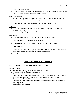- 3. Public and School Meetings
- 4. At the end of the year the committee received a CD of 100 PowerPoint presentations from the NEMO Secretariat on Disaster Risk Reduction

# Emergency Responses

Committee did not participate in any major activities, but was on alert for floods and land slides from heavy rains and waves from sea surge.

The Committee provided support to the 2009 Jazz Festival and Jounee Kwéyòl

# **Challenges**

- 1. Lack of response in dealing with oil and chemical spills from Saint Lucia Coconut Growers Association.
- 2. Issues regarding cutting trees and neighbor controversies.

# Way Forward

- 1. De silting of Soufrière River, during the dry season, to prevent flooding.
- 2. Simulation Exercise of an earthquake in Soufrière.
- 3. Hazard and oil spills response in Soufrière (SMMA Staff to be included)
- 4. Membership Drive
- 5. Public Education, Community only responds to emergencies after the fact need to nature a pro-active mind set in responding to emergencies/disasters.
- 6. Co-ordination with all response agencies.

# **Vieux Fort South Disaster Committee**

# **NAME OF REPORTING OFFICER:** Kizzie Joseph (Secretary)

# **PREPAREDNESS**

Committee members took part in four training exercises for 2009:

- 1. Warehouse and Relief Supplies Management
- 2. Simulation Training The committee members' were tested on their emergency preparedness skills. At the end of the training the members' gave feedback and their ratings of the exercise.
- 3. Telecommunications Training-This training aimed at developing the members' telecommunication skills in the use of hand held radios.
- 4. First Aid and CPR Training-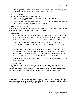Members participated in a refreshers course on First Aid and CPR to learn how to prevent injuries and to think, react and improvise in emergency situations.

# **PUBLIC EDUCATION**

- 1. Monthly committee meetings were held at the EOC.
- 2. Leaflets were distributed to schools and members of the community, on Disaster awareness and H1N1.
- 3. At the end of the year the committee received a CD of 100 PowerPoint presentations from the NEMO Secretariat on Disaster Risk Reduction

# **EMERGENCY RESPONSES**

Members responded to the fire at St. Jude's Hospital. They assisted in the transferring of supplies to the George Odlum Stadium where the hospital was re- located.

# **CHALLENGES**

(a) One of the major challenges the committee has faced and continues to face is the lack of participation by all the stake holders. They don't attend monthly meetings neither do they participate or support any of the activities for the annual calendar of activities.

Suggestion- Meet with the heads of the various organizations; e.g. churches, Police Force; to identify persons who could be utilized as their representative to serve on the committee.

(b) Hazard mapping forms an integral part of the committees' calendar of activities. Site visits of Disaster prone areas are done; recommendations are then sent to the various agencies that are responsible for solving these problems. In most instances, the committee never gets any responses after letters are sent out to the relevant authorities.

Suggestion- Members should agitate and seek the assistance of the NEMO secretariat and local government.

# **WAY FORWARD:**

For the year 2010, the Vieux Fort South Committee will be undertaking a simulation exercise targeting a particular school in the Vieux Fort basin. The exercise will seek the involvement of students, members of staff and parents as well as members of the public. The exercise will also aim at assisting that particular school in the formation/ enhancement of a disaster plan.

# **Conclusion**

It continues to be a source of bewilderment and sadness that certain District Disaster Committees consistently do not report on the good works that they do. These committees work hard and yet will not inform the public of the works that they do.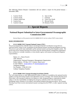The following District Disaster Committees did not submit a report for the period January – December 2009.

- 1. Castries North
- 2. Castries South
- 3. Castries South East
- 4. Castries East
- 5. Castries Central
- 6. Anse la Ray
- 7. Choiseul
- 8. Vieux Fort North
- 9. Micoud North
- 10. Dennery North

# *5 – Special Reports*

# **National Report Submitted to Inter-Governmental Oceanographic Commission 2009**

*National Reports will be posted to the ICG/CARIBE EWS IV web site without TWFP contact details*

# **BASIC INFORMATION**

# **1. ICG/CARIBE EWS Tsunami National Contact (TNC)**

*The person designated by a Member State to an Intergovernmental Coordination Group (ICG) to represent his/her country in the coordination of international tsunami warning and mitigation activities. The person is part of the main stakeholders of the national tsunami warning and mitigation system. The person may be the Tsunami Warning Focal Point, from the national disaster management organization, from a technical or scientific institution, or from another agency with tsunami warning and mitigation responsibilities.*

Name: A. L. Dawn French Title: Director Organization: National Emergency Management Organization Postal Address: PO Box 1517, Castries, Saint Lucia E-mail Address: eoc@candw.lc or slunemo@gmail.com. Telephone Number: Fax Number: (758) 453 2152 Cellular Telephone Number:

# **2. ICG/CARIBE EWS Tsunami Warning Focal Point (TWFP)**

*The 7x24 contact person, or other official point of contact or address, is available at the national level for rapidly receiving and issuing tsunami event information (such as warnings). The Tsunami Warning Focal Point either is the emergency authority (civil defense or other designated agency responsible for public safety), or has the responsibility of notifying the emergency authority of the event characteristics (earthquake and/or tsunami), in accordance with national standard operating procedures. The Tsunami Warning Focal Point receives international tsunami warnings from the PTWC, or other regional warning centres.*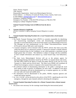Name: Thomas Auguste Title: Director Responsible Organization: Saint Lucia Meteorological Services Postal Address: c/o Ministry of Comms & Works, Union, Castries, Saint Lucia. E-mail Address: slumet@yahoo.com or director@slumet.gov.lc Emergency Telephone Number: Emergency Fax Number: (758) 454 9705 (24 hour) or (758) 453 2769 Emergency Cellular Telephone Number:

#### **National Tsunami Warning Centre (if different from the above)** N/A

# **3. Tsunami Advisor(s), if applicable**

*(Person, Committee or Agency managing Tsunami Mitigation in country)*  N/A

# **4. Tsunami Standard Operating Procedures for a Local Tsunami (when a local tsunami hazard exists)**

- The Pacific Tsunami Warning Centre (PWTC) is currently responsible for identifying and characterizing tsunamigenic events and disseminating warning/information messages on associated threats to the Focal Point (Saint Lucia Meteorological Services). The messages are sent simultaneously on the Global Telecommunications System (GTS) and to relevant SMS and e-mail recipients.
- A tsunami emergency will be declared when the PWTC advises that Saint Lucia falls within the threat area of a destructive tsunami. A destructive tsunami is initially defined, based on historical data for the Caribbean, as one which generates a maximum run-up height greater than 3.0 meters. This definition is subject to change with the availability of more in-depth information and analysis e.g. coastal hazard maps, local bathymetry, etc.
- The Saint Lucia Meteorological Services will act as the primary agency for disseminating/relaying information issued by the PWTC on tsunami threats and events. The Met Office shall be the agency to notify the public directly in the case of a Local Tsunami [i.e. 60min and less arrival time]. The Saint Lucia NEMO will coordinate all official local emergency actions in response to the tsunami threat and/or event.
- The preferred method of disseminating information to the public is through the local news media in order of priority via telephone, fax and e-mail. In addition to the above channels, information will also be disseminated e.g. to response agencies, etc, via SMS, two-way radio and visual and audible alerts.
- The information will be disseminated to the public, NEMO, response agencies and coastal and marine interests.
- An 'ALL CLEAR' will be declared on the advice of the PWTC, signifying the end of the emergency, through the same channels utilized in declaring the emergency.

# **5. Tsunami Standard Operating Procedures for a Distant Tsunami (when a distant tsunami hazard exists)**

• No actions were necessary for the warnings issued during the intercessional period.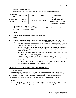# **6. National Sea Level Network**

*Please include a table with position and description of stations/sensors, and a map,*

| <b>STATION</b><br><b>NAME</b> | <b>LOCATION</b>     | LAT             | <b>LON</b>      | <b>SENSORS</b>                                                                             |
|-------------------------------|---------------------|-----------------|-----------------|--------------------------------------------------------------------------------------------|
| Ganter's Bay<br>(CPACC)       | Castries<br>Harbour | $14^{0}01.20$ N | $61^{0}00.06$ W | Tide gauge, Water<br>thermometer, Ord.<br>Thermometer, Barometer,<br>Rain gauge, Wind, RH. |

#### **7. Information on Tsunami occurrences**

*Please include sea level observations, pictures, wave arrival descriptions, public, media, or other responses to warnings, lessons learned, etc.*

*NONE*

- **8. Web sites (URLs) of national tsunami-related web sites** *NONE*
- **9. Summary plans of future tsunami warning and mitigation system improvements.** *This information will be used to aid the development of the CARIBE EWS Implementation Plan.*
	- *Establish network of visual/audio warning mechanisms (sirens, flashing lights) at vulnerable populated locations.*
	- *Schedule meetings of Technical Standing Committee on Coastal Hazards with a view to establishing a comprehensive Local Tsunami Warning Plan and Coastal Evacuation Plan.*
	- *Identify and train response personnel in vulnerable communities to drive local preparation and response to tsunamis.*
	- *Plan and execute evacuation and response simulation exercises.*
	- *Enhance education and public awareness drive through, lectures, school visits, PSAs, etc.*
	- *Encourage IOC Working Group members to remain active and participate in IOC-Caraibe programs during inter-sessional period.*

# **NATIONAL PROGRAMMES AND ACTIVITIES INFORMATION**

# **11. NARRATIVE**

*Detailed description of innovations or modifications to National tsunami warnings procedures or operations since last National Report, tsunami research projects, tsunami mitigation activities and best practices (especially in preparedness and emergency management), as well as public education programmes or other measures taken to heighten awareness of the tsunami hazard and risk.*

# *1. Signage*

At the ICG/Caribe EWS of 2009 held in Martinique the area of signage was discussed. The ISO in partnership with the IOC had agreed upon a standard for the warning signs for tsunamis.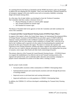At a meeting between the Bureau of Standards and the NEMO Secretariat a plan was developed to address the area adopting the ISO Standard. Saint Lucia shall develop a National Standard for all emergency signage in the series shall be areas such as evacuation, landslide, swimming danger and tsunami among others.

As a first step a list of stake holders was developed to form the Technical Committee. The Committee shall then conduct a literature review of

- Physical Planning Act [this act controls public signage]
- New Zealand Standard for tsunami signs
- ISO Standard for tsunami signs

The Bureau of Standard shall invite agencies to form the Committee and shall coordinate the work of the committee.

# *2. Tsunami and Other Coastal Hazards Warning System (TCHWS) Project Phase I*

In support of the region's efforts, the United States Agency for International Development/Office of Foreign Disaster Assistance (USAID/OFDA) has provided a grant of US\$475,200.00 to empower coastal communities in the Caribbean to prepare for and respond to tsunamis and coastal hazards. This two year initiative which commences in October 2007, is the first of its kind in the Caribbean and is expected to be the catalyst for benchmarking the standards and protocols for this type of hazard in the region. The intent is to harness the expertise and experiences from existing institutions, develop and adopt a regional and national system which will save lives as it seeks to educate and prepare the communities at risk making them less prone to tsunamis, storm surges, flash floods and other hydro meteorological hazards.

The primary objective of the Tsunami & Coastal Hazards Warning System – (TCHWS) Project is to support the establishment of an effective end-to-end Tsunami warning system at the regional and national levels, and to undertake public education and awareness campaigns to prepare coastal communities for actions to be taken when a warning is issued

Specific project results include:

- Increased public awareness within communities in CDEMA's Participating States
- Institutionalized tsunami and coastal hazards awareness and tools through the provision of teaching modules
- Improved access to web-based alert and warning information
- Improved notification to at-risk population in CDEMA's Participating States

In addition, the CDEMA CU will have developed a methodology for Tsunami Early Warning System.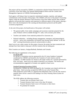The project will be executed by CDEMA, in conjunction with the Seismic Research Unit the University of the West Indies, the National Meteorological Offices and the Coastal Zone Management Agencies in CDEMA Participating States.

Each agency will bring to bear its respective institutional mandate, expertise, and regional constituencies to the execution of the project. The CDEMA will serve as the project's Executing Agency while the Seismic Research Unit/University of the West Indies and the other technical agencies will provide their expertise and experience to different aspects of the project, playing a direct role in the development of the warning and dissemination protocols and the public awareness programmes.

At the end of the project, the beneficiaries of the project will include:

- The general public: from media campaigns and awareness materials prepared for the same. Products will be available through TV, radio, web-accessed, print media.
- Teachers and students: from materials produced for classroom use.
- National authorities including disaster management, emergency and meteorological services – and at-risk communities will benefit from having clearly defined "to the last mile" warning dissemination protocols and procedures in place.

Saint Lucia is not a pilot country for this project, however the project has been monitored and attempts have been made to keep pace with the countries that are taking part.

Pilot Countries are Jamaica, Antigua/Barbuda, Barbados and Grenada.

The following are supplements to the project:

FA HUM 2009

FA HUM is a simulation exercise sponsored by the US Army Southern Command, coordinated by CDEMA and hosted by the Countries of Latin America and the Caribbean. In 2009 Grenada was chosen as the target country for a tsunami generated by Kick 'em Jenny. Saint Lucia was asked to function as an evaluator. The lessons and recommendations suggested to Grenada were applied to Saint Lucia.

# Standard Operating Procedures [SOPs]

Facilitated by CDEMA the SOPs developed by the Consultant were shared with the non pilot States. Saint Lucia has accepted the SOPs for use in the Tsunami Plan. With production of the SOPs it is apparent that bathymetric data is not the only resource required, there will be a need for the funding of an Early Warning Alarm System for Saint Lucia.

The SOPs address the following scenarios:

- Tsunami does not threaten Saint Lucia
- Tsunami threatens Saint Lucia in less than 30 minutes
- Tsunami threatens Saint Lucia in 30 minutes to three hours
- No potential for tsunami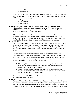- Cancellation
- Test message

Saint Lucia has no early warning systems in place as yet however this gap does not mean there are not areas that can be practiced and explored. As such the adoption of certain SOPs is recommended, namely:

- No potential for tsunami
- Cancellation
- Test message

# *3. Tsunami and Other Coastal Hazards Warning System (TCHWS) Project Phase II*

The Caribbean Disaster Emergency Management Agency (CDEMA) through the TCHWS Project is advancing activities to increase public awareness about tsunamis and other coastal hazards in its Participating States.

The material will be included in a suite of products being developed for the public awareness component of the project which is being rolled out later in 2009. Other products include educational material for the 12 to 15 age group will be developed and distributed to all Member States as part of the public awareness programme.

# *4. Response Plan*

With out the bathymetric data required for the modeling of the inundation levels and the production of maps the creation of a response plan remains limited. A partnership is being explored with the Sustainable Development Section of the Ministry of Planning for the accessing of Light Detection and Ranging [LiDAR] as a first step to accessing the bathometry.

In the meantime in collaboration with the Geographic Information Systems Unit a Simplified Hazard Estimation has been used to model vulnerable areas. By selecting a reasonable elevation and identifying all areas below that elevation to be tsunami hazard zones as an acceptable and useful way to create evacuation maps. There are a few possible approaches to selecting a reasonable elevation:

- (1) *Selection of 10 meters:* Most tsunamis have serious impacts only at elevations lower than ten meters above sea level, although it is possible for very large tsunamis to be destructive above this elevation.
- (2) *Selection of 3 kilometer inland*: The destructive power of a tsunami usually dissipates by three kilometers inland, even over flat ground. This method can be used for communities on flat coastal plains.

Work continues on a DRAFT Tsunami Plan and it will soon be ready for the review of the National Tsunami Committee.

# *5. Training*

Tsunami Warning Focal Point (TWFP) is the designated official or point of contact (primary and alternate) available twenty-four hours a day, seven days a week to receive tsunami and other coast hazard-related information bulletins and warning guidance. The Tsunami Warning Focal Point (TWFP) has the responsibility of notifying the NEMO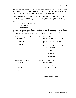Secretariat of the event characteristics (earthquake and/or tsunami), in accordance with the procedures of the Tsunami Response Plan. The TWFP receives tsunami information from the Tsunami Warning Centre, or other regional warning centers.

The Government of Saint Lucia has designed that the Saint Lucia Met Services be the Focal Point with the Saint Lucia Fire Service and the Royal Saint Lucia Police Force as alternates. With the recommendation that Saint Lucia adopt in the first instance the SOPs for

- No potential for tsunami
- Cancellation
- Test message

It has now become necessary for the Ops Offices of these three agencies be provided with the necessary skills set to understand the messages from the Tsunami Warning Centre and the resultant actions expected. As such a training package is proposed:

Unit 1 – National Response Mechanism

- NEMO
- NEMAC
- NEMP

Unit 5 – Tsunami SOPs

- Tsunami does not threaten Saint Lucia
- Tsunami threatens Saint Lucia in less than 30 minutes
- Tsunami threatens Saint Lucia in 30 minutes to three hours
- No potential for tsunami
	- **Cancellation**
	- Test message

Unit 2 – Regional Mechanisms

- ICG/Caribe
- SRC
- CDEMA
- RSS
- CDRU
- ECDG

Unit 6 - Crisis Communications

- Tsunami Signage
- Tsunami Warning Centre
- Decision Making Matrix
- Communication Chain
- Communication Types
- Communicating in a Crisis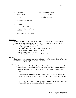Unit 3 - Geography 101

- **Tectonic Plates**
- Plotting
- Identifying vulnerable areas

Unit 4 – Tsunamis

- History in the Caribbean
- Triggers [earthquake, volcano, landslide]
- Types [Local, Regional, Distant]

# Partnerships

Technical Support is required for the development of a workbook to accompany the Units, however work continues on the PowerPoint Presentation. A number of partners have been approached to assist with the presentations:

- Unit 2: Regional Mechanisms CDEMA
- Unit 3: Geography Sir Arthur Lewis Committee College
- Unit 4: Tsunami Seismic Research Centre
- Unit 5: Tsunami SOPs CDEMA
- Unit 6: Crisis Communications Seismic Research Centre

# *6. Other*

The Tsunami Decision Matrix is expected to be printed before the end of November 2009 as the first step in preparing the Tsunami Focal Points.

# *7. Next Steps*

- 1. *Attorney General Chambers:* Under the Disaster Management Act the power for the deceleration of a mandatory evacuation lies in the Prime Minister. This legal responsibility must now be expanded to include the Tsunami Warning Focal Point.
- 2. *CDEMA Phase II:* Phase two of the CDEMA Tsunami Project addresses public education Saint Lucia has been invited to become a pilot state for Phase II of this project.
- 3. *UNDP:* The United Nations Development Fund has agreed to fund the publication of Tsunami Posters for circulation in the wider community.

# Unit 7 – Simulation Exercise

- Zulu Time explained
- Scenarios
- Decisions taken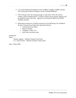- 4. *Curriculum Material Development Unit [CAMDU]:* Engage CAMDU with the aim of sourcing Technical Assistance for the Training Workbook.
- 5. *Pilot Training:* Once the training package is ready there will be the need to conduct a Pilot Training Session. In order to ensure success partner agencies will be invited be review and critic. Agencies to be invited are Red Cross, OFDA, CDEMA and SRC.
- 6. *Information production:* It shall be necessary for the following to be installed at the three Tsunami Focal Points [the Operations Rooms]
	- Tsunami Decision Matrix
	- Map for Plotting
	- Telephone Contact List
	- Zulu Time conversion chart

Submitted by

Name:

Thomas Auguste – National Tsunami Focal Point A. L. Dawn French – National Tsunami Contact point

Date: 14 May 2009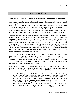# *6 – Appendices*

# **Appendix 1 - National Emergency Management Organisation of Saint Lucia**

Saint Lucia is exposed to natural and man-made hazards, which increasingly have the potential to cause significant loss of life and property, as well as serious damage to the environment and the economy. At the same time, the national and regional interdependencies resulting from globalization increase Saint Lucia's vulnerability to the impacts of events caused by natural and technological hazards both at home, and abroad. As globalization serves to create more economic opportunities in Saint Lucia and the region, key economic sectors, such as the tourism industry, could be severely disrupted, resulting in increased economic and social dislocation.

Disaster Management, though called by numerous names over the years [disaster preparedness, disaster management, disaster risk reduction, community resilience etc.] has manifested itself constantly in Saint Lucia. As far back as June  $10 - 20$ , 1979 Saint Lucia was host to the *Caribbean Disaster Preparedness Seminar*, [part of the International Disaster Seminar Series] where over one hundred and fifty delegates from the Caribbean, North and Latin America assembled to discuss the concerns of the day. The following year that Hurricane Allen devastated the island. In November 1984 with the memory of Hurricane Allen still fresh Saint Lucia hosted another important conference: *The International Conference on Natural Hazard Mitigation Program Implementation. Conferences* such conferences were critical to the formation of the disaster management program that was to evolve.

The actual date for the creation of the an office to deal with disasters is not clear, however research shows that soon after 1980 there was a desk set up to deal with disasters and by 1990 there was an established Office of Disaster Preparedness being run by a National Disaster Coordinator. History making events such as the 1854 Cholera Epidemic, the 1938 Ravine Poisson Landslide and the 1948 Castries Fire required that the [Colonial] Government of the day had to appoint persons to coordinate the response.

In 1991 Saint Lucia together with fifteen other Caribbean States signed the Articles that created the Caribbean Disaster Emergency Response Agency [CDERA]. Prior to that there had been the Pan Caribbean Disaster Preparedness and Prevention Project [PCDPP].

*The Pan-Caribbean Disaster Preparedness Project (PCDPP) was established in 1981 to improve national and regional Disaster Management in the Caribbean. With headquarters in Antigua, it was launched jointly by the United Nations Disaster Relief Organisation (UNDRO) now the United Nations Department of Humanitarian Affairs (DHA), CARICOM, Pan American Health Organisation/World Health Organisation (PAHO/WHO), and the League of Red Cross Societies (Red Cross). PCDPP was supported by bilateral donors from Canada, the United States, the United Kingdom, and the European Economic Community. Although it was conceived as a short-term, 18 month project, focused solely on disaster preparedness, the PCDPP operated for almost*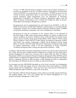*10 years. In 1989, when the project extended its work to the prevention of disasters, its acronym was lengthened to the Pan Caribbean Disaster Preparedness and Prevention Project (PCDPPP) to accommodate the term "prevention". PCDPPP has also led to the creation of disaster preparedness offices in several Borrowing Member States, e.g. the Central Emergency Relief Organisation [now the Department of Emergency Management] in Barbados, the National Emergency Management Agency [now the Office of Disaster Preparedness] and in Trinidad and Tobago the Office of Disaster Preparedness and Emergency Management in Jamaica*

*Recognising the need to institutionalise the work started by the PCDPPP, in 1991 the Heads of Government of CARICOM established a regional agency to coordinate disaster management activities. The Caribbean Disaster Emergency Response Agency (CDERA) was formally established in September 1991 with its headquarters in Barbados.* 

*Recognising the need for coordination of the response efforts in the aftermath of hurricane Hugo in 1989, which caused extensive damage to a number of islands in the Eastern Caribbean, the Eastern Caribbean Donor Group (ECDG) was formed. Donor agencies that are members of the group include BDDC, CIDA, CDB, EU, PAHO, United Nations Children's Fund (UNICEF), United Nations Development Programme (UNDP) and USAID. Two response organisations, CDERA and the Regional Security System (RSS), are members of ECDG while IDB and the Organisation of America States (OAS) are support organisations. UNDP is the lead organisation of ECDG. [SOURCE: Caribbean Development Bank: Strategy and Operational Guidelines – 1998]*

In February 1995 the Office of Disaster Preparedness of Saint Lucia had its staff increased from two to three when the post of Deputy Disaster Coordinator was created. The next major step in Disaster Management for Saint Lucia occurred when in March 2000 the Office of Disaster Preparedness [ODP] was renamed the National Emergency Management Office (NEMO) and the resident Disaster Coordinator and Deputy Disaster Coordinator became the Director and Deputy Director. Legislation followed in 2000 and again in 2006 changing the Office to Organisation and conferring on the Minister the power to declare an enforced evacuation.

For seventeen years the ODP/NEMO functioned out of the Saint Lucia Red Cross Headquarters [1989 - 2003]. In 2003 with support from the United States Army Soth [SouthCom ], NEMO moved to Biseé and new Headquarters. Three years later with a loan from the World Bank the NEMO Headquarters again relocated to a state of the art premises.

On 5th December, 2009 the National Response Centre at Biseé was formally opened and blessed. The building together with a five year Strategic Plan for Disaster Management set a new platform for Disaster Management in Saint Lucia.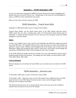# **Appendix 2 – NEMO Remembers 2009**

As part of an education campaign the NEMO Secretariat issues press releases highlighting the disasters that have occurred in Saint Lucia. Though many of the events are not metrological in nature, in 2009 the events remembered were storms.

Below are the events and press releases for 2009.

# NEMO Remembers… Tropical Storm Debby

September 9, 2009 marks fifteen years of Tropical Storm Debby.

Tropical Storm Debby, was the fourth named storm of the 1994 Atlantic hurricane season. Debby lasted only two days, reaching peak winds of 70 mph before being sheared apart on September 11. Despite the short duration, however, the heavy rains and gusty winds from Debby managed to cause nine deaths.

# **Impact**

In Saint Lucia, Debby's heavy rains caused several landslides that killed four people and injured more than 600 others. The landslides blocked main roads and closed an airport and flooding was reported in Anse La Raye. Debby's winds damaged much of the banana crop in Saint Lucia and Martinique. Debby then brought 38 knot winds to Puerto Rico, and caused coastal damage that amounted to \$50,000 dollars (1994 USD) and high seas left a ferry stranded.

In all, Debby killed nine people and left two missing. Five were unaccounted for and more than a hundred people had been left homeless. The damage total from Debby was \$230 million (1994 USD, \$294 million 2005 USD).

# **Lack of retirement**

Because damage was not extreme, the name Debby was not retired, and was reused in the 2000 season.

# NEMO Remembers… Hurricane Lenny

19 November, 2009 marks 10 years of Hurricane Lenny [1999]

*19 November, 2009* -- Hurricane Lenny was the 12th tropical storm, eighth hurricane, and fifth major hurricane in the 1999 Atlantic hurricane season. Lenny was the strongest Atlantic hurricane ever recorded in November.

The Hurricane became know for its unusual motion from west-to-east across the Caribbean, instead of the usual east-to-west across the Atlantic.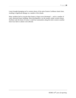Lenny brought damaging surf to western shores of the entire Eastern Caribbean island chain, resulting in significant damage on a number of the islands.

Many residents had to evacuate their homes as huge waves threatened — and in a number of cases, destroyed many buildings. Most development is on the usually calmer western shores. Soufriere took the brunt of Lenny's wrath but communities along the entire western coastline from Gros Islet to Laborie were affected.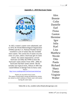# **Appendix 3 - 2010 Hurricane Names**



In 1953, women's names were substituted, and in 1979, the World Meteorological Organization (WMO) and the U.S. National Weather Service switched to a list of names that also included men's names. The current list of names recycles every six years, unless a hurricane gets its name retired. Any nation impacted by a severe hurricane can lobby the WMO to have the hurricane's name retired. From 1950 - 2004, 62 hurricanes had their names retired. The list includes one tropical storm, Allison of 2001 that caused billions in damage from its heavy rains.

Source:

http://www.wunderground.com/hurricane/retired.asp

Names are recycled every 6 years. The names of particularly strong and destructive storms are retired to avoid confusion in future years with storms having the same name.

Alex Bonnie Colin Danielle Earl Fiona Gaston Hermine Igor Julia Karl Lisa Matthew Nicole **Otto** Paula Richard Shary Tomas Virginie **Walter** 

Subscribe at slu\_weather-subscribe@yahoogroups.com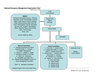# **National Emergency Management Organisation Chart**



*NEMOs 10th year of reporting*.